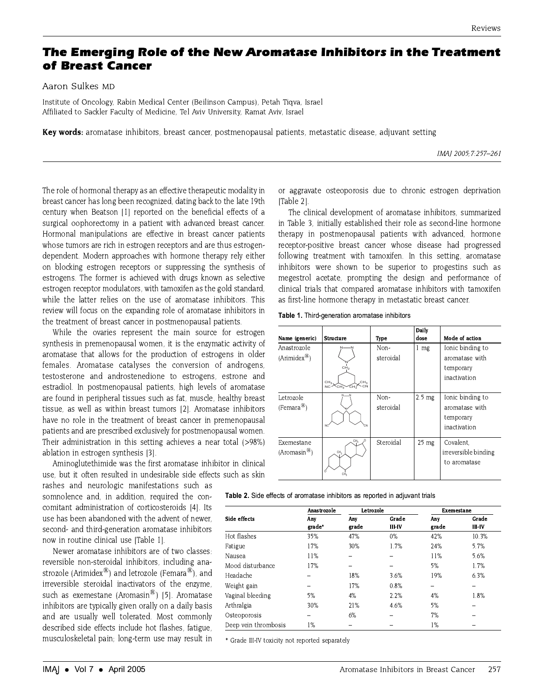# The Emerging Role of the New Aromatase Inhibitors in the Treatment of Breast Cancer

Aaron Sulkes MD

Institute of Oncology, Rabin Medical Center (Beilinson Campus), Petah Tiqva, Israel Affiliated to Sackler Faculty of Medicine, Tel Aviv University, Ramat Aviv, Israel

Key words: aromatase inhibitors, breast cancer, postmenopausal patients, metastatic disease, adjuvant setting

IMAI 2005: 7:257-261

The role of hormonal therapy as an effective therapeutic modality in breast cancer has long been recognized, dating back to the late 19th century when Beatson [1] reported on the beneficial effects of a surgical oophorectomy in a patient with advanced breast cancer. Hormonal manipulations are effective in breast cancer patients whose tumors are rich in estrogen receptors and are thus estrogendependent. Modern approaches with hormone therapy rely either on blocking estrogen receptors or suppressing the synthesis of estrogens. The former is achieved with drugs known as selective estrogen receptor modulators, with tamoxifen as the gold standard, while the latter relies on the use of aromatase inhibitors. This review will focus on the expanding role of aromatase inhibitors in the treatment of breast cancer in postmenopausal patients.

While the ovaries represent the main source for estrogen synthesis in premenopausal women, it is the enzymatic activity of aromatase that allows for the production of estrogens in older females. Aromatase catalyses the conversion of androgens, testosterone and androstenedione to estrogens, estrone and estradiol. In postmenopausal patients, high levels of aromatase are found in peripheral tissues such as fat, muscle, healthy breast tissue, as well as within breast tumors [2]. Aromatase inhibitors have no role in the treatment of breast cancer in premenopausal patients and are prescribed exclusively for postmenopausal women. Their administration in this setting achieves a near total (>98%) ablation in estrogen synthesis [3].

Aminoglutethimide was the first aromatase inhibitor in clinical use, but it often resulted in undesirable side effects such as skin

rashes and neurologic manifestations such as somnolence and, in addition, required the concomitant administration of corticosteroids [4]. Its use has been abandoned with the advent of newer, second- and third-generation aromatase inhibitors now in routine clinical use [Table 1].

Newer aromatase inhibitors are of two classes: reversible non-steroidal inhibitors, including anastrozole (Arimidex®) and letrozole (Femara®), and irreversible steroidal inactivators of the enzyme, such as exemestane (Aromasin®) [5]. Aromatase inhibitors are typically given orally on a daily basis and are usually well tolerated. Most commonly described side effects include hot flashes, fatigue, musculoskeletal pain; long-term use may result in

or aggravate osteoporosis due to chronic estrogen deprivation ITable 21.

The clinical development of aromatase inhibitors, summarized in Table 3, initially established their role as second-line hormone therapy in postmenopausal patients with advanced, hormone receptor-positive breast cancer whose disease had progressed following treatment with tamoxifen. In this setting, aromatase inhibitors were shown to be superior to progestins such as megestrol acetate, prompting the design and performance of clinical trials that compared aromatase inhibitors with tamoxifen as first-line hormone therapy in metastatic breast cancer.

|  | Table 1. Third-generation aromatase inhibitors |  |  |
|--|------------------------------------------------|--|--|
|--|------------------------------------------------|--|--|

| Name (generic)                           | <b>Structure</b>                                                                                                      | Type              | Daily<br>dose   | Mode of action                                                  |
|------------------------------------------|-----------------------------------------------------------------------------------------------------------------------|-------------------|-----------------|-----------------------------------------------------------------|
| Anastrozole<br>$(Arimidex^{\circledR})$  | CH <sub>2</sub><br>CH <sub>2</sub><br>CH <sub>3</sub><br>$c_{\text{H}_3}$<br>$\sim$ CN<br>$\epsilon$ H $\zeta$<br>NC. | Non-<br>steroidal | 1 mg            | Ionic binding to<br>aromatase with<br>temporary<br>inactivation |
| Letrozole<br>(Femara <sup>®</sup> )      | NC                                                                                                                    | Non-<br>steroidal | $2.5$ mg        | Ionic binding to<br>aromatase with<br>temporary<br>inactivation |
| Exemestane<br>(Aromasin <sup>(8)</sup> ) | CH <sub>3</sub><br>CH <sub>3</sub>                                                                                    | Steroidal         | $25 \text{ mg}$ | Covalent.<br>irreversible binding<br>to aromatase               |

Table 2. Side effects of aromatase inhibitors as reported in adjuvant trials

|                      | Anastrozole | Letrozole |        | Exemestane |        |
|----------------------|-------------|-----------|--------|------------|--------|
| Side effects         | Any         | Any       | Grade  | Any        | Grade  |
|                      | grade*      | grade     | III-IV | grade      | III-IV |
| Hot flashes          | 35%         | 47%       | $0\%$  | 42%        | 10.3%  |
| Fatigue              | 17%         | 30%       | 1.7%   | 24%        | 5.7%   |
| Nausea               | 11%         |           |        | 11%        | 5.6%   |
| Mood disturbance     | 17%         |           |        | 5%         | 1.7%   |
| Headache             |             | 18%       | 3.6%   | 19%        | 6.3%   |
| Weight gain          |             | 17%       | 0.8%   |            |        |
| Vaginal bleeding     | 5%          | 4%        | 2.2%   | 4%         | 1.8%   |
| Arthralgia           | 30%         | 21%       | 4.6%   | 5%         |        |
| Osteoporosis         |             | 6%        |        | 7%         |        |
| Deep vein thrombosis | 1%          |           |        | 1%         |        |

\* Grade III-IV toxicity not reported separately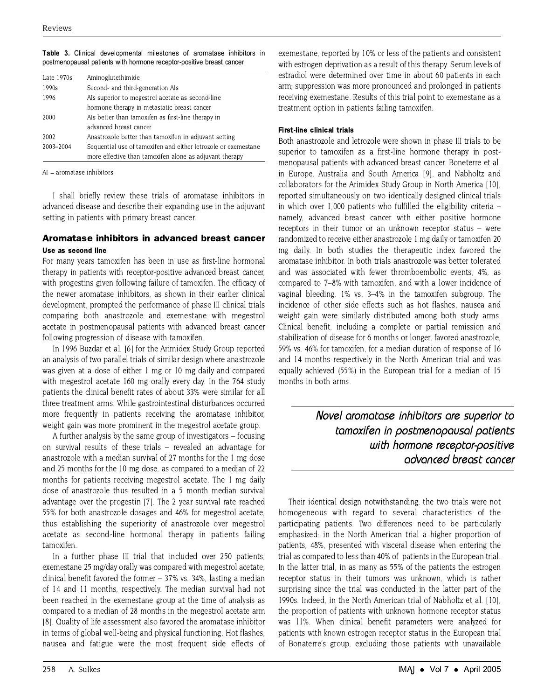| Aminoglutethimide                                              |
|----------------------------------------------------------------|
| Second- and third-generation Als                               |
| Als superior to megestrol acetate as second-line               |
| hormone therapy in metastatic breast cancer                    |
| Als better than tamoxifen as first-line therapy in             |
| advanced breast cancer                                         |
| Anastrozole better than tamoxifen in adjuvant setting          |
| Sequential use of tamoxifen and either letrozole or exemestane |
| more effective than tamoxifen alone as adjuvant therapy        |
|                                                                |

Table 3. Clinical developmental milestones of aromatase inhibitors in postmenopausal patients with hormone receptor-positive breast cancer

 $AI =$  aromatase inhibitors

I shall briefly review these trials of aromatase inhibitors in advanced disease and describe their expanding use in the adjuvant setting in patients with primary breast cancer.

## Aromatase inhibitors in advanced breast cancer Use as second line

For many years tamoxifen has been in use as first-line hormonal therapy in patients with receptor-positive advanced breast cancer, with progestins given following failure of tamoxifen. The efficacy of the newer aromatase inhibitors, as shown in their earlier clinical development, prompted the performance of phase III clinical trials comparing both anastrozole and exemestane with megestrol acetate in postmenopausal patients with advanced breast cancer following progression of disease with tamoxifen.

In 1996 Buzdar et al. [6] for the Arimidex Study Group reported an analysis of two parallel trials of similar design where anastrozole was given at a dose of either 1 mg or 10 mg daily and compared with megestrol acetate 160 mg orally every day. In the 764 study patients the clinical benefit rates of about 33% were similar for all three treatment arms. While gastrointestinal disturbances occurred more frequently in patients receiving the aromatase inhibitor, weight gain was more prominent in the megestrol acetate group.

A further analysis by the same group of investigators – focusing on survival results of these trials - revealed an advantage for anastrozole with a median survival of 27 months for the 1 mg dose and 25 months for the 10 mg dose, as compared to a median of 22 months for patients receiving megestrol acetate. The 1 mg daily dose of anastrozole thus resulted in a 5 month median survival advantage over the progestin [7]. The 2 year survival rate reached 55% for both anastrozole dosages and 46% for megestrol acetate, thus establishing the superiority of anastrozole over megestrol acetate as second-line hormonal therapy in patients failing tamoxifen.

In a further phase III trial that included over 250 patients, exemestane 25 mg/day orally was compared with megestrol acetate; clinical benefit favored the former  $-37\%$  vs. 34%, lasting a median of 14 and 11 months, respectively. The median survival had not been reached in the exemestane group at the time of analysis as compared to a median of 28 months in the megestrol acetate arm [8]. Quality of life assessment also favored the aromatase inhibitor in terms of global well-being and physical functioning. Hot flashes, nausea and fatigue were the most frequent side effects of

exemestane, reported by 10% or less of the patients and consistent with estrogen deprivation as a result of this therapy. Serum levels of estradiol were determined over time in about 60 patients in each arm; suppression was more pronounced and prolonged in patients receiving exemestane. Results of this trial point to exemestane as a treatment option in patients failing tamoxifen.

## **First-line clinical trials**

Both anastrozole and letrozole were shown in phase III trials to be superior to tamoxifen as a first-line hormone therapy in postmenopausal patients with advanced breast cancer. Boneterre et al. in Europe, Australia and South America [9], and Nabholtz and collaborators for the Arimidex Study Group in North America [10], reported simultaneously on two identically designed clinical trials in which over 1,000 patients who fulfilled the eligibility criteria namely, advanced breast cancer with either positive hormone receptors in their tumor or an unknown receptor status – were randomized to receive either anastrozole 1 mg daily or tamoxifen 20 mg daily. In both studies the therapeutic index favored the aromatase inhibitor. In both trials anastrozole was better tolerated and was associated with fewer thromboembolic events, 4%, as compared to 7-8% with tamoxifen, and with a lower incidence of vaginal bleeding. 1% vs. 3–4% in the tamoxifen subgroup. The incidence of other side effects such as hot flashes, nausea and weight gain were similarly distributed among both study arms. Clinical benefit, including a complete or partial remission and stabilization of disease for 6 months or longer, favored anastrozole, 59% vs. 46% for tamoxifen, for a median duration of response of 16 and 14 months respectively in the North American trial and was equally achieved (55%) in the European trial for a median of 15 months in both arms.

> Novel aromatase inhibitors are superior to tamoxifen in postmenopausal patients with hormone receptor-positive advanced breast cancer

Their identical design notwithstanding, the two trials were not homogeneous with regard to several characteristics of the participating patients. Two differences need to be particularly emphasized: in the North American trial a higher proportion of patients, 48%, presented with visceral disease when entering the trial as compared to less than 40% of patients in the European trial. In the latter trial, in as many as 55% of the patients the estrogen receptor status in their tumors was unknown, which is rather surprising since the trial was conducted in the latter part of the 1990s. Indeed, in the North American trial of Nabholtz et al. [10]. the proportion of patients with unknown hormone receptor status was 11%. When clinical benefit parameters were analyzed for patients with known estrogen receptor status in the European trial of Bonaterre's group, excluding those patients with unavailable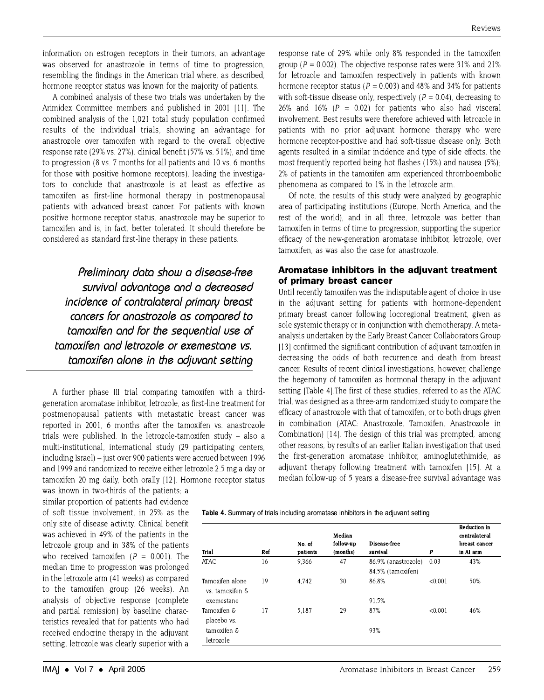information on estrogen receptors in their tumors, an advantage was observed for anastrozole in terms of time to progression, resembling the findings in the American trial where, as described. hormone receptor status was known for the majority of patients.

A combined analysis of these two trials was undertaken by the Arimidex Committee members and published in 2001 [11]. The combined analysis of the 1,021 total study population confirmed results of the individual trials, showing an advantage for anastrozole over tamoxifen with regard to the overall objective response rate (29% vs. 27%), clinical benefit (57% vs. 51%), and time to progression (8 vs. 7 months for all patients and 10 vs. 6 months for those with positive hormone receptors), leading the investigators to conclude that anastrozole is at least as effective as tamoxifen as first-line hormonal therapy in postmenopausal patients with advanced breast cancer. For patients with known positive hormone receptor status, anastrozole may be superior to tamoxifen and is, in fact, better tolerated. It should therefore be considered as standard first-line therapy in these patients.

Preliminaru data show a disease-free survival advantage and a decreased incidence of contralateral primary breast cancers for anastrozole as compared to tamoxifen and for the sequential use of tamoxifen and letrozole or exemestane vs. tamoxifen alone in the adjuvant setting

A further phase III trial comparing tamoxifen with a thirdgeneration aromatase inhibitor, letrozole, as first-line treatment for postmenopausal patients with metastatic breast cancer was reported in 2001, 6 months after the tamoxifen vs. anastrozole trials were published. In the letrozole-tamoxifen study - also a multi-institutional, international study (29 participating centers, including Israel) – just over 900 patients were accrued between 1996 and 1999 and randomized to receive either letrozole 2.5 mg a day or tamoxifen 20 mg daily, both orally [12]. Hormone receptor status

was known in two-thirds of the patients; a similar proportion of patients had evidence of soft tissue involvement, in 25% as the only site of disease activity. Clinical benefit was achieved in 49% of the patients in the letrozole group and in 38% of the patients who received tamoxifen ( $P = 0.001$ ). The median time to progression was prolonged in the letrozole arm (41 weeks) as compared to the tamoxifen group (26 weeks). An analysis of objective response (complete and partial remission) by baseline characteristics revealed that for patients who had received endocrine therapy in the adjuvant setting, letrozole was clearly superior with a

response rate of 29% while only 8% responded in the tamoxifen group ( $P = 0.002$ ). The objective response rates were 31% and 21% for letrozole and tamoxifen respectively in patients with known hormone receptor status ( $P = 0.003$ ) and 48% and 34% for patients with soft-tissue disease only, respectively ( $P = 0.04$ ), decreasing to 26% and 16% ( $P = 0.02$ ) for patients who also had visceral involvement. Best results were therefore achieved with letrozole in patients with no prior adjuvant hormone therapy who were hormone receptor-positive and had soft-tissue disease only. Both agents resulted in a similar incidence and type of side effects, the most frequently reported being hot flashes (15%) and nausea (5%); 2% of patients in the tamoxifen arm experienced thromboembolic phenomena as compared to 1% in the letrozole arm.

Of note, the results of this study were analyzed by geographic area of participating institutions (Europe, North America, and the rest of the world), and in all three, letrozole was better than tamoxifen in terms of time to progression, supporting the superior efficacy of the new-generation aromatase inhibitor, letrozole, over tamoxifen, as was also the case for anastrozole.

## Aromatase inhibitors in the adjuvant treatment of primary breast cancer

Until recently tamoxifen was the indisputable agent of choice in use in the adjuvant setting for patients with hormone-dependent primary breast cancer following locoregional treatment, given as sole systemic therapy or in conjunction with chemotherapy. A metaanalysis undertaken by the Early Breast Cancer Collaborators Group [13] confirmed the significant contribution of adjuvant tamoxifen in decreasing the odds of both recurrence and death from breast cancer. Results of recent clinical investigations, however, challenge the hegemony of tamoxifen as hormonal therapy in the adjuvant setting [Table 4]. The first of these studies, referred to as the ATAC trial, was designed as a three-arm randomized study to compare the efficacy of anastrozole with that of tamoxifen, or to both drugs given in combination (ATAC: Anastrozole, Tamoxifen, Anastrozole in Combination) [14]. The design of this trial was prompted, among other reasons, by results of an earlier Italian investigation that used the first-generation aromatase inhibitor, aminoglutethimide, as adjuvant therapy following treatment with tamoxifen [15]. At a median follow-up of 5 years a disease-free survival advantage was

Table 4. Summary of trials including aromatase inhibitors in the adjuvant setting

|                          |     | No. of   | Median<br>follow-up | Disease-free        |         | Reduction in<br>contralateral<br>breast cancer |
|--------------------------|-----|----------|---------------------|---------------------|---------|------------------------------------------------|
| Trial                    | Ref | patients | (months)            | survival            | P       | in AI arm                                      |
| ATAC                     | 16  | 9.366    | 47                  | 86.9% (anastrozole) | 0.03    | 43%                                            |
|                          |     |          |                     | 84.5% (tamoxifen)   |         |                                                |
| Tamoxifen alone          | 19  | 4.742    | 30                  | 86.8%               | < 0.001 | 50%                                            |
| vs. tamoxifen $\epsilon$ |     |          |                     |                     |         |                                                |
| exemestane               |     |          |                     | 91.5%               |         |                                                |
| Tamoxifen &              | 17  | 5.187    | 29                  | 87%                 | < 0.001 | 46%                                            |
| placebo vs.              |     |          |                     |                     |         |                                                |
| tamoxifen $\epsilon$     |     |          |                     | 93%                 |         |                                                |
| letrozole                |     |          |                     |                     |         |                                                |
|                          |     |          |                     |                     |         |                                                |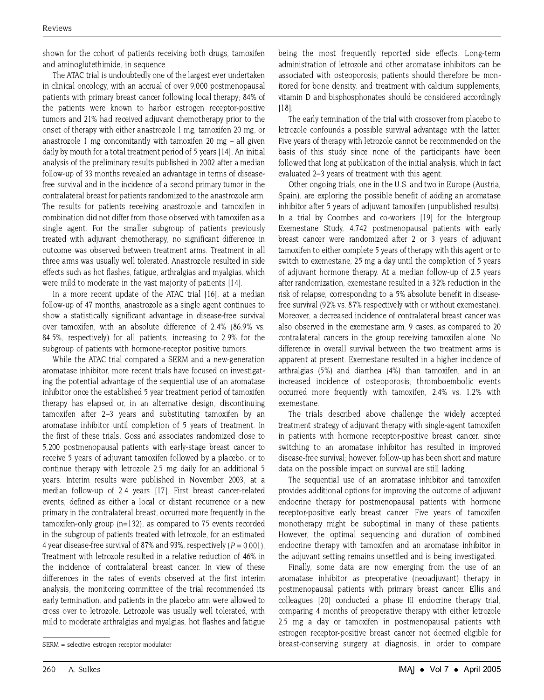shown for the cohort of patients receiving both drugs, tamoxifen and aminoglutethimide, in sequence.

The ATAC trial is undoubtedly one of the largest ever undertaken in clinical oncology, with an accrual of over 9,000 postmenopausal patients with primary breast cancer following local therapy; 84% of the patients were known to harbor estrogen receptor-positive tumors and 21% had received adjuvant chemotherapy prior to the onset of therapy with either anastrozole 1 mg, tamoxifen 20 mg, or anastrozole 1 mg concomitantly with tamoxifen 20 mg  $-$  all given daily by mouth for a total treatment period of 5 years [14]. An initial analysis of the preliminary results published in 2002 after a median follow-up of 33 months revealed an advantage in terms of diseasefree survival and in the incidence of a second primary tumor in the contralateral breast for patients randomized to the anastrozole arm. The results for patients receiving anastrozole and tamoxifen in combination did not differ from those observed with tamoxifen as a single agent. For the smaller subgroup of patients previously treated with adjuvant chemotherapy, no significant difference in outcome was observed between treatment arms. Treatment in all three arms was usually well tolerated. Anastrozole resulted in side effects such as hot flashes, fatigue, arthralgias and myalgias, which were mild to moderate in the vast majority of patients [14].

In a more recent update of the ATAC trial 1161, at a median follow-up of 47 months, anastrozole as a single agent continues to show a statistically significant advantage in disease-free survival over tamoxifen, with an absolute difference of 2.4% (86.9% vs. 84.5%, respectively) for all patients, increasing to 2.9% for the subgroup of patients with hormone-receptor positive tumors.

While the ATAC trial compared a SERM and a new-generation aromatase inhibitor, more recent trials have focused on investigating the potential advantage of the sequential use of an aromatase inhibitor once the established 5 year treatment period of tamoxifen therapy has elapsed or, in an alternative design, discontinuing tamoxifen after 2-3 years and substituting tamoxifen by an aromatase inhibitor until completion of 5 years of treatment. In the first of these trials. Goss and associates randomized close to 5,200 postmenopausal patients with early-stage breast cancer to receive 5 years of adjuvant tamoxifen followed by a placebo, or to continue therapy with letrozole 2.5 mg daily for an additional 5 years. Interim results were published in November 2003, at a median follow-up of 2.4 years [17]. First breast cancer-related events, defined as either a local or distant recurrence or a new primary in the contralateral breast, occurred more frequently in the tamoxifen-only group ( $n=132$ ), as compared to 75 events recorded in the subgroup of patients treated with letrozole, for an estimated 4 year disease-free survival of 87% and 93%, respectively ( $P = 0.001$ ). Treatment with letrozole resulted in a relative reduction of 46% in the incidence of contralateral breast cancer. In view of these differences in the rates of events observed at the first interim analysis, the monitoring committee of the trial recommended its early termination, and patients in the placebo arm were allowed to cross over to letrozole. Letrozole was usually well tolerated, with mild to moderate arthralgias and myalgias, hot flashes and fatigue being the most frequently reported side effects. Long-term administration of letrozole and other aromatase inhibitors can be associated with osteoporosis; patients should therefore be monitored for bone density, and treatment with calcium supplements. vitamin D and bisphosphonates should be considered accordingly  $[18]$ 

The early termination of the trial with crossover from placebo to letrozole confounds a possible survival advantage with the latter. Five years of therapy with letrozole cannot be recommended on the basis of this study since none of the participants have been followed that long at publication of the initial analysis, which in fact evaluated 2-3 years of treatment with this agent.

Other ongoing trials, one in the U.S. and two in Europe (Austria, Spain), are exploring the possible benefit of adding an aromatase inhibitor after 5 years of adjuvant tamoxifen (unpublished results). In a trial by Coombes and co-workers [19] for the Intergroup Exemestane Study, 4.742 postmenopausal patients with early breast cancer were randomized after 2 or 3 years of adjuvant tamoxifen to either complete 5 years of therapy with this agent or to switch to exemestane, 25 mg a day until the completion of 5 years of adjuvant hormone therapy. At a median follow-up of 2.5 years after randomization, exemestane resulted in a 32% reduction in the risk of relapse, corresponding to a 5% absolute benefit in diseasefree survival (92% vs. 87% respectively with or without exemestane). Moreover, a decreased incidence of contralateral breast cancer was also observed in the exemestane arm, 9 cases, as compared to 20 contralateral cancers in the group receiving tamoxifen alone. No difference in overall survival between the two treatment arms is apparent at present. Exemestane resulted in a higher incidence of arthralgias (5%) and diarrhea (4%) than tamoxifen, and in an increased incidence of osteoporosis; thromboembolic events occurred more frequently with tamoxifen, 2.4% vs. 1.2% with exemestane.

The trials described above challenge the widely accepted treatment strategy of adjuvant therapy with single-agent tamoxifen in patients with hormone receptor-positive breast cancer, since switching to an aromatase inhibitor has resulted in improved disease-free survival; however, follow-up has been short and mature data on the possible impact on survival are still lacking.

The sequential use of an aromatase inhibitor and tamoxifen provides additional options for improving the outcome of adjuvant endocrine therapy for postmenopausal patients with hormone receptor-positive early breast cancer. Five years of tamoxifen monotherapy might be suboptimal in many of these patients. However, the optimal sequencing and duration of combined endocrine therapy with tamoxifen and an aromatase inhibitor in the adjuvant setting remains unsettled and is being investigated.

Finally, some data are now emerging from the use of an aromatase inhibitor as preoperative (neoadjuvant) therapy in postmenopausal patients with primary breast cancer. Ellis and colleagues [20] conducted a phase III endocrine therapy trial, comparing 4 months of preoperative therapy with either letrozole 2.5 mg a day or tamoxifen in postmenopausal patients with estrogen receptor-positive breast cancer not deemed eligible for breast-conserving surgery at diagnosis, in order to compare

SERM = selective estrogen receptor modulator